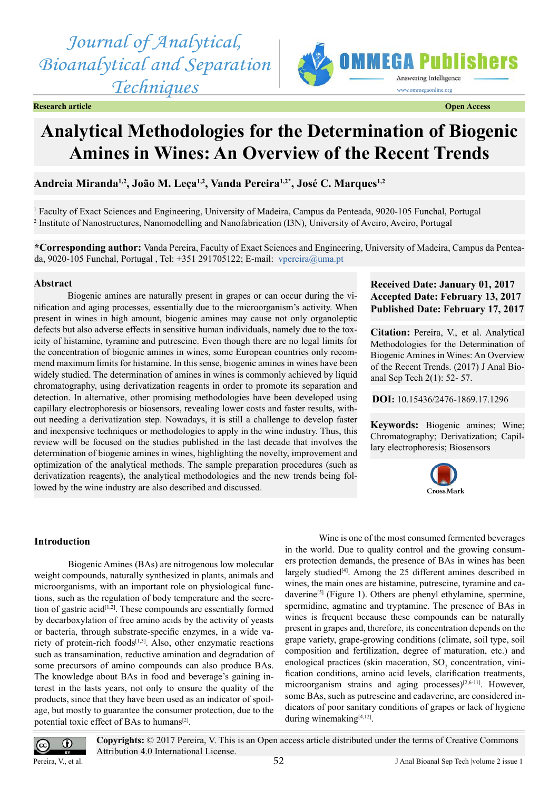*Journal of Analytical, Bioanalytical and Separation Techniques*



#### **Research article Open Access**

# **Analytical Methodologies for the Determination of Biogenic Amines in Wines: An Overview of the Recent Trends**

**Andreia Miranda1,2, João M. Leça1,2, Vanda Pereira1,2\*, José C. Marques1,2**

1 Faculty of Exact Sciences and Engineering, University of Madeira, Campus da Penteada, 9020-105 Funchal, Portugal 2 Institute of Nanostructures, Nanomodelling and Nanofabrication (I3N), University of Aveiro, Aveiro, Portugal

**\*Corresponding author:** Vanda Pereira, Faculty of Exact Sciences and Engineering, University of Madeira, Campus da Penteada, 9020-105 Funchal, Portugal , Tel: +351 291705122; E-mail: [vpereira@uma.pt](mailto:vpereira@uma.pt)

## **Abstract**

Biogenic amines are naturally present in grapes or can occur during the vinification and aging processes, essentially due to the microorganism's activity. When present in wines in high amount, biogenic amines may cause not only organoleptic defects but also adverse effects in sensitive human individuals, namely due to the toxicity of histamine, tyramine and putrescine. Even though there are no legal limits for the concentration of biogenic amines in wines, some European countries only recommend maximum limits for histamine. In this sense, biogenic amines in wines have been widely studied. The determination of amines in wines is commonly achieved by liquid chromatography, using derivatization reagents in order to promote its separation and detection. In alternative, other promising methodologies have been developed using capillary electrophoresis or biosensors, revealing lower costs and faster results, without needing a derivatization step. Nowadays, it is still a challenge to develop faster and inexpensive techniques or methodologies to apply in the wine industry. Thus, this review will be focused on the studies published in the last decade that involves the determination of biogenic amines in wines, highlighting the novelty, improvement and optimization of the analytical methods. The sample preparation procedures (such as derivatization reagents), the analytical methodologies and the new trends being followed by the wine industry are also described and discussed.

# **Received Date: January 01, 2017 Accepted Date: February 13, 2017 Published Date: February 17, 2017**

**Citation:** Pereira, V., et al. Analytical Methodologies for the Determination of Biogenic Amines in Wines: An Overview of the Recent Trends. (2017) J Anal Bioanal Sep Tech 2(1): 52- 57.

**DOI:** [10.15436/2476-1869.17.1](http://www.dx.doi.org/10.15436/2476-1869.17.1296
)296

**Keywords:** Biogenic amines; Wine; Chromatography; Derivatization; Capillary electrophoresis; Biosensors



### **Introduction**

Biogenic Amines (BAs) are nitrogenous low molecular weight compounds, naturally synthesized in plants, animals and microorganisms, with an important role on physiological functions, such as the regulation of body temperature and the secretion of gastric acid[\[1,2\].](#page-4-0) These compounds are essentially formed by decarboxylation of free amino acids by the activity of yeasts or bacteria, through substrate-specific enzymes, in a wide variety of protein-rich foods $[1,3]$ . Also, other enzymatic reactions such as transamination, reductive amination and degradation of some precursors of amino compounds can also produce BAs. The knowledge about BAs in food and beverage's gaining interest in the lasts years, not only to ensure the quality of the products, since that they have been used as an indicator of spoilage, but mostly to guarantee the consumer protection, due to the potential toxic effect of BAs to humans<sup>[2]</sup>.

Wine is one of the most consumed fermented beverages in the world. Due to quality control and the growing consumers protection demands, the presence of BAs in wines has been largely studied<sup>[4]</sup>. Among the 25 different amines described in wines, the main ones are histamine, putrescine, tyramine and cadaverine<sup>[5]</sup> (Figure 1). Others are phenyl ethylamine, spermine, spermidine, agmatine and tryptamine. The presence of BAs in wines is frequent because these compounds can be naturally present in grapes and, therefore, its concentration depends on the grape variety, grape-growing conditions (climate, soil type, soil composition and fertilization, degree of maturation, etc.) and enological practices (skin maceration,  $SO_2$  concentration, vinification conditions, amino acid levels, clarification treatments, microorganism strains and aging processes) $[2,6-11]$ . However, some BAs, such as putrescine and cadaverine, are considered indicators of poor sanitary conditions of grapes or lack of hygiene during winemaking[\[4,12\].](#page-4-2)



**Copyrights:** © 2017 Pereira, V. This is an Open access article distributed under the terms of Creative Commons Attribution 4.0 International License.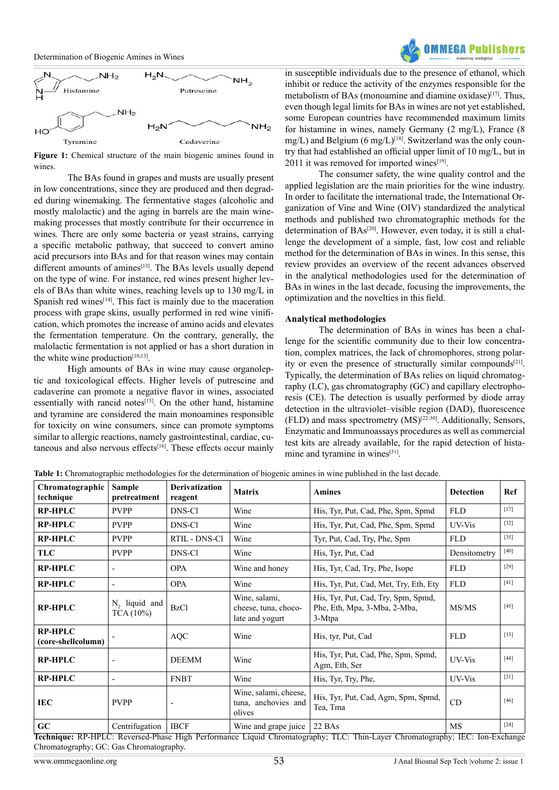



**Figure 1:** Chemical structure of the main biogenic amines found in wines.

The BAs found in grapes and musts are usually present in low concentrations, since they are produced and then degraded during winemaking. The fermentative stages (alcoholic and mostly malolactic) and the aging in barrels are the main winemaking processes that mostly contribute for their occurrence in wines. There are only some bacteria or yeast strains, carrying a specific metabolic pathway, that succeed to convert amino acid precursors into BAs and for that reason wines may contain different amounts of amines<sup>[13]</sup>. The BAs levels usually depend on the type of wine. For instance, red wines present higher levels of BAs than white wines, reaching levels up to 130 mg/L in Spanish red wines $[14]$ . This fact is mainly due to the maceration process with grape skins, usually performed in red wine vinification, which promotes the increase of amino acids and elevates the fermentation temperature. On the contrary, generally, the malolactic fermentation is not applied or has a short duration in the white wine production $[10,13]$ .

High amounts of BAs in wine may cause organoleptic and toxicological effects. Higher levels of putrescine and cadaverine can promote a negative flavor in wines, associated essentially with rancid notes $[15]$ . On the other hand, histamine and tyramine are considered the main monoamines responsible for toxicity on wine consumers, since can promote symptoms similar to allergic reactions, namely gastrointestinal, cardiac, cutaneous and also nervous effects<sup>[16]</sup>. These effects occur mainly

in susceptible individuals due to the presence of ethanol, which inhibit or reduce the activity of the enzymes responsible for the metabolism of BAs (monoamine and diamine oxidase)<sup>[17]</sup>. Thus, even though legal limits for BAs in wines are not yet established, some European countries have recommended maximum limits for histamine in wines, namely Germany (2 mg/L), France (8  $mg/L$ ) and Belgium (6 mg/ $L$ )<sup>[18]</sup>. Switzerland was the only country that had established an official upper limit of 10 mg/L, but in 2011 it was removed for imported wines $[19]$ .

The consumer safety, the wine quality control and the applied legislation are the main priorities for the wine industry. In order to facilitate the international trade, the International Organization of Vine and Wine (OIV) standardized the analytical methods and published two chromatographic methods for the determination of BAs<sup>[20]</sup>. However, even today, it is still a challenge the development of a simple, fast, low cost and reliable method for the determination of BAs in wines. In this sense, this review provides an overview of the recent advances observed in the analytical methodologies used for the determination of BAs in wines in the last decade, focusing the improvements, the optimization and the novelties in this field.

#### **Analytical methodologies**

The determination of BAs in wines has been a challenge for the scientific community due to their low concentration, complex matrices, the lack of chromophores, strong polarity or even the presence of structurally similar compounds<sup>[21]</sup>. Typically, the determination of BAs relies on liquid chromatography (LC), gas chromatography (GC) and capillary electrophoresis (CE). The detection is usually performed by diode array detection in the ultraviolet–visible region (DAD), fluorescence (FLD) and mass spectrometry (MS)<sup>[22-30]</sup>. Additionally, Sensors, Enzymatic and Immunoassays procedures as well as commercial test kits are already available, for the rapid detection of hista-mine and tyramine in wines<sup>[\[31\]](#page-5-0)</sup>.

**Table 1:** Chromatographic methodologies for the determination of biogenic amines in wine published in the last decade.

| Chromatographic<br>technique         | <b>Sample</b><br>pretreatment                                                                                                                                                                                                                                                                                                                                                                          | <b>Derivatization</b><br>reagent                  | <b>Matrix</b>                                                               | <b>Amines</b>                                                                 | <b>Detection</b> | Ref    |
|--------------------------------------|--------------------------------------------------------------------------------------------------------------------------------------------------------------------------------------------------------------------------------------------------------------------------------------------------------------------------------------------------------------------------------------------------------|---------------------------------------------------|-----------------------------------------------------------------------------|-------------------------------------------------------------------------------|------------------|--------|
| <b>RP-HPLC</b>                       | <b>PVPP</b>                                                                                                                                                                                                                                                                                                                                                                                            | DNS-Cl                                            | Wine                                                                        | His, Tyr, Put, Cad, Phe, Spm, Spmd                                            | <b>FLD</b>       | $[17]$ |
| <b>RP-HPLC</b>                       | <b>PVPP</b>                                                                                                                                                                                                                                                                                                                                                                                            | DNS-Cl                                            | Wine                                                                        | His, Tyr, Put, Cad, Phe, Spm, Spmd                                            | UV-Vis           | $[32]$ |
| <b>RP-HPLC</b>                       | <b>PVPP</b>                                                                                                                                                                                                                                                                                                                                                                                            | RTIL - DNS-Cl                                     | Wine                                                                        | Tyr, Put, Cad, Try, Phe, Spm                                                  | <b>FLD</b>       | $[35]$ |
| <b>TLC</b>                           | <b>PVPP</b>                                                                                                                                                                                                                                                                                                                                                                                            | DNS-Cl                                            | Wine                                                                        | His, Tyr, Put, Cad                                                            | Densitometry     | [40]   |
| <b>RP-HPLC</b>                       | $\overline{\phantom{a}}$                                                                                                                                                                                                                                                                                                                                                                               | <b>OPA</b>                                        | Wine and honey                                                              | His, Tyr, Cad, Try, Phe, Isope                                                | <b>FLD</b>       | $[29]$ |
| <b>RP-HPLC</b>                       |                                                                                                                                                                                                                                                                                                                                                                                                        | <b>OPA</b>                                        | Wine                                                                        | His, Tyr, Put, Cad, Met, Try, Eth, Ety                                        | <b>FLD</b>       | $[41]$ |
| <b>RP-HPLC</b>                       | N <sub>2</sub> liquid and<br>TCA(10%)                                                                                                                                                                                                                                                                                                                                                                  | <b>BzCl</b>                                       | Wine, salami,<br>cheese, tuna, choco-<br>late and yogurt                    | His, Tyr, Put, Cad, Try, Spm, Spmd,<br>Phe, Eth, Mpa, 3-Mba, 2-Mba,<br>3-Mtpa | MS/MS            | $[45]$ |
| <b>RP-HPLC</b><br>(core-shellcolumn) |                                                                                                                                                                                                                                                                                                                                                                                                        | <b>AQC</b>                                        | Wine                                                                        | His, tyr, Put, Cad                                                            | <b>FLD</b>       | $[33]$ |
| <b>RP-HPLC</b>                       |                                                                                                                                                                                                                                                                                                                                                                                                        | <b>DEEMM</b>                                      | Wine                                                                        | His, Tyr, Put, Cad, Phe, Spm, Spmd,<br>Agm, Eth, Ser                          | UV-Vis           | $[44]$ |
| <b>RP-HPLC</b>                       | $\overline{\phantom{a}}$                                                                                                                                                                                                                                                                                                                                                                               | <b>FNBT</b>                                       | Wine                                                                        | His, Tyr, Try, Phe,                                                           | UV-Vis           | $[21]$ |
| <b>IEC</b>                           | <b>PVPP</b>                                                                                                                                                                                                                                                                                                                                                                                            |                                                   | Wine, salami, cheese,<br>tuna, anchovies and<br>olives                      | His, Tyr, Put, Cad, Agm, Spm, Spmd,<br>CD<br>Tea, Tma                         |                  | $[46]$ |
| GC<br><del>.</del>                   | Centrifugation<br>$\overline{p}$ $\overline{p}$ $\overline{p}$ $\overline{p}$ $\overline{p}$ $\overline{p}$ $\overline{p}$ $\overline{p}$ $\overline{p}$ $\overline{p}$ $\overline{p}$ $\overline{p}$ $\overline{p}$ $\overline{p}$ $\overline{p}$ $\overline{p}$ $\overline{p}$ $\overline{p}$ $\overline{p}$ $\overline{p}$ $\overline{p}$ $\overline{p}$ $\overline{p}$ $\overline{p}$ $\overline{$ | <b>IBCF</b><br>$\overline{11}$ 1 D $\overline{0}$ | Wine and grape juice<br>$\overline{\phantom{0}}$ 1 $\overline{\phantom{0}}$ | 22 BAs<br>$\overline{m}$ $\overline{c}$ $\overline{m}$ $\overline{r}$         | <b>MS</b><br>TTQ | $[24]$ |

**Technique:** RP-HPLC: Reversed-Phase High Performance Liquid Chromatography; TLC: Thin-Layer Chromatography; IEC: Ion-Exchange Chromatography; GC: Gas Chromatography.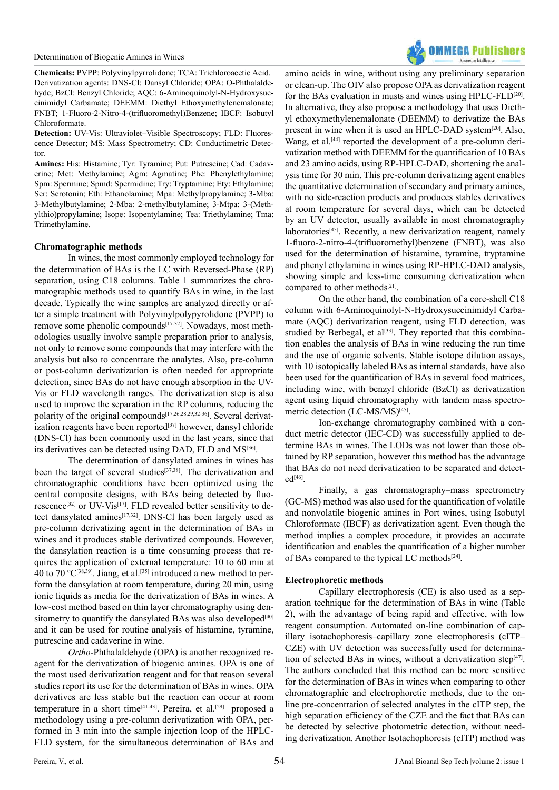**Chemicals:** PVPP: Polyvinylpyrrolidone; TCA: Trichloroacetic Acid. Derivatization agents: DNS-Cl: Dansyl Chloride; OPA: O-Phthalaldehyde; BzCl: Benzyl Chloride; AQC: 6-Aminoquinolyl-N-Hydroxysuccinimidyl Carbamate; DEEMM: Diethyl Ethoxymethylenemalonate; FNBT; 1-Fluoro-2-Nitro-4-(trifluoromethyl)Benzene; IBCF: Isobutyl Chloroformate.

**Detection:** UV-Vis: Ultraviolet–Visible Spectroscopy; FLD: Fluorescence Detector; MS: Mass Spectrometry; CD: Conductimetric Detector.

**Amines:** His: Histamine; Tyr: Tyramine; Put: Putrescine; Cad: Cadaverine; Met: Methylamine; Agm: Agmatine; Phe: Phenylethylamine; Spm: Spermine; Spmd: Spermidine; Try: Tryptamine; Ety: Ethylamine; Ser: Serotonin; Eth: Ethanolamine; Mpa: Methylpropylamine; 3-Mba: 3-Methylbutylamine; 2-Mba: 2-methylbutylamine; 3-Mtpa: 3-(Methylthio)propylamine; Isope: Isopentylamine; Tea: Triethylamine; Tma: Trimethylamine.

### **Chromatographic methods**

In wines, the most commonly employed technology for the determination of BAs is the LC with Reversed-Phase (RP) separation, using C18 columns. Table 1 summarizes the chromatographic methods used to quantify BAs in wine, in the last decade. Typically the wine samples are analyzed directly or after a simple treatment with Polyvinylpolypyrolidone (PVPP) to remove some phenolic compounds $[17-32]$ . Nowadays, most methodologies usually involve sample preparation prior to analysis, not only to remove some compounds that may interfere with the analysis but also to concentrate the analytes. Also, pre-column or post-column derivatization is often needed for appropriate detection, since BAs do not have enough absorption in the UV-Vis or FLD wavelength ranges. The derivatization step is also used to improve the separation in the RP columns, reducing the polarity of the original compounds<sup>[17,26,28,29,32-36]</sup>. Several derivatization reagents have been reported $[37]$  however, dansyl chloride (DNS-Cl) has been commonly used in the last years, since that its derivatives can be detected using DAD, FLD and MS[\[36\]](#page-5-10).

The determination of dansylated amines in wines has been the target of several studies<sup>[37,38]</sup>. The derivatization and chromatographic conditions have been optimized using the central composite designs, with BAs being detected by fluorescence<sup>[32]</sup> or UV-Vis<sup>[17]</sup>. FLD revealed better sensitivity to detect dansylated amines[\[17,32\].](#page-4-9) DNS-Cl has been largely used as pre-column derivatizing agent in the determination of BAs in wines and it produces stable derivatized compounds. However, the dansylation reaction is a time consuming process that requires the application of external temperature: 10 to 60 min at 40 to 70 °C<sup>[38,39]</sup>. Jiang, et al.<sup>[35]</sup> introduced a new method to perform the dansylation at room temperature, during 20 min, using ionic liquids as media for the derivatization of BAs in wines. A low-cost method based on thin layer chromatography using den-sitometry to quantify the dansylated BAs was also developed<sup>[\[40\]](#page-5-3)</sup> and it can be used for routine analysis of histamine, tyramine, putrescine and cadaverine in wine.

*Ortho*-Phthalaldehyde (OPA) is another recognized reagent for the derivatization of biogenic amines. OPA is one of the most used derivatization reagent and for that reason several studies report its use for the determination of BAs in wines. OPA derivatives are less stable but the reaction can occur at room temperature in a short time<sup>[\[41-43\]](#page-5-5)</sup>. Pereira, et al.<sup>[29]</sup> proposed a methodology using a pre-column derivatization with OPA, performed in 3 min into the sample injection loop of the HPLC-FLD system, for the simultaneous determination of BAs and



amino acids in wine, without using any preliminary separation or clean-up. The OIV also propose OPA as derivatization reagent for the BAs evaluation in musts and wines using HPLC-FLD[20]. In alternative, they also propose a methodology that uses Diethyl ethoxymethylenemalonate (DEEMM) to derivatize the BAs present in wine when it is used an HPLC-DAD system<sup>[20]</sup>. Also, Wang, et al.<sup>[44]</sup> reported the development of a pre-column derivatization method with DEEMM for the quantification of 10 BAs and 23 amino acids, using RP-HPLC-DAD, shortening the analysis time for 30 min. This pre-column derivatizing agent enables the quantitative determination of secondary and primary amines, with no side-reaction products and produces stables derivatives at room temperature for several days, which can be detected by an UV detector, usually available in most chromatography laboratories<sup>[45]</sup>. Recently, a new derivatization reagent, namely 1-fluoro-2-nitro-4-(trifluoromethyl)benzene (FNBT), was also used for the determination of histamine, tyramine, tryptamine and phenyl ethylamine in wines using RP-HPLC-DAD analysis, showing simple and less-time consuming derivatization when compared to other methods[\[21\]](#page-4-12).

On the other hand, the combination of a core-shell C18 column with 6-Aminoquinolyl-N-Hydroxysuccinimidyl Carbamate (AQC) derivatization reagent, using FLD detection, was studied by Berbegal, et al<sup>[33]</sup>. They reported that this combination enables the analysis of BAs in wine reducing the run time and the use of organic solvents. Stable isotope dilution assays, with 10 isotopically labeled BAs as internal standards, have also been used for the quantification of BAs in several food matrices, including wine, with benzyl chloride (BzCl) as derivatization agent using liquid chromatography with tandem mass spectrometric detection (LC-MS/MS)<sup>[45]</sup>.

Ion-exchange chromatography combined with a conduct metric detector (IEC-CD) was successfully applied to determine BAs in wines. The LODs was not lower than those obtained by RP separation, however this method has the advantage that BAs do not need derivatization to be separated and detect $ed^{[46]}$ 

Finally, a gas chromatography–mass spectrometry (GC-MS) method was also used for the quantification of volatile and nonvolatile biogenic amines in Port wines, using Isobutyl Chloroformate (IBCF) as derivatization agent. Even though the method implies a complex procedure, it provides an accurate identification and enables the quantification of a higher number of BAs compared to the typical LC methods[\[24\]](#page-4-14).

# **Electrophoretic methods**

Capillary electrophoresis (CE) is also used as a separation technique for the determination of BAs in wine (Table 2), with the advantage of being rapid and effective, with low reagent consumption. Automated on-line combination of capillary isotachophoresis–capillary zone electrophoresis (cITP– CZE) with UV detection was successfully used for determination of selected BAs in wines, without a derivatization step<sup>[47]</sup>. The authors concluded that this method can be more sensitive for the determination of BAs in wines when comparing to other chromatographic and electrophoretic methods, due to the online pre-concentration of selected analytes in the cITP step, the high separation efficiency of the CZE and the fact that BAs can be detected by selective photometric detection, without needing derivatization. Another Isotachophoresis (cITP) method was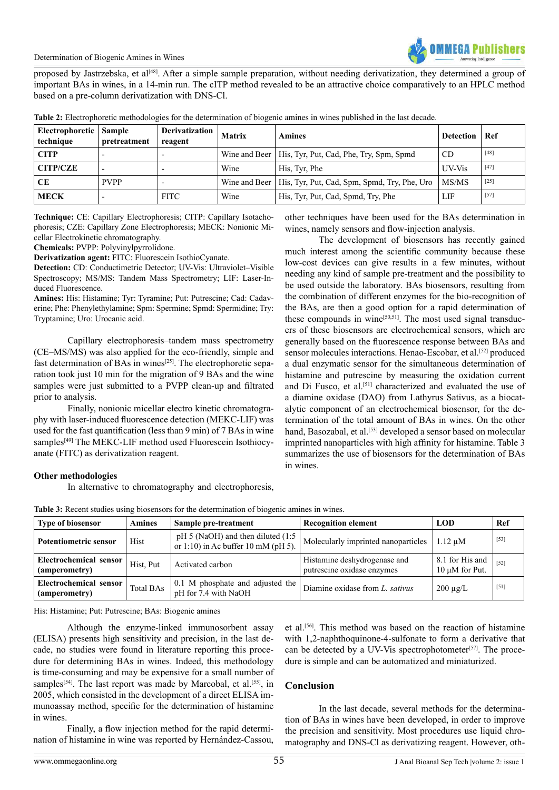proposed by Jastrzebska, et al<sup>[48]</sup>. After a simple sample preparation, without needing derivatization, they determined a group of important BAs in wines, in a 14-min run. The cITP method revealed to be an attractive choice comparatively to an HPLC method based on a pre-column derivatization with DNS-Cl.

| Electrophoretic   Sample<br>technique | pretreatment             | Derivatization<br>reagent | <b>Matrix</b> | <b>Amines</b>                                                | <b>Detection</b> | Ref    |
|---------------------------------------|--------------------------|---------------------------|---------------|--------------------------------------------------------------|------------------|--------|
| <b>CITP</b>                           |                          |                           |               | Wine and Beer   His, Tyr, Put, Cad, Phe, Try, Spm, Spmd      | CD <sub>0</sub>  | $[48]$ |
| <b>CITP/CZE</b>                       | $\overline{\phantom{0}}$ |                           | Wine          | His, Tyr, Phe                                                | UV-Vis           | $[47]$ |
| CЕ                                    | <b>PVPP</b>              |                           |               | Wine and Beer   His, Tyr, Put, Cad, Spm, Spmd, Try, Phe, Uro | MS/MS            | $[25]$ |
| <b>MECK</b>                           | $\overline{\phantom{0}}$ | <b>FITC</b>               | Wine          | His, Tyr, Put, Cad, Spmd, Try, Phe                           | LIF              | $[57]$ |

**Table 2:** Electrophoretic methodologies for the determination of biogenic amines in wines published in the last decade.

**Technique:** CE: Capillary Electrophoresis; CITP: Capillary Isotachophoresis; CZE: Capillary Zone Electrophoresis; MECK: Nonionic Micellar Electrokinetic chromatography.

**Chemicals:** PVPP: Polyvinylpyrrolidone.

**Derivatization agent:** FITC: Fluorescein IsothioCyanate.

**Detection:** CD: Conductimetric Detector; UV-Vis: Ultraviolet–Visible Spectroscopy; MS/MS: Tandem Mass Spectrometry; LIF: Laser-Induced Fluorescence.

**Amines:** His: Histamine; Tyr: Tyramine; Put: Putrescine; Cad: Cadaverine; Phe: Phenylethylamine; Spm: Spermine; Spmd: Spermidine; Try: Tryptamine; Uro: Urocanic acid.

Capillary electrophoresis–tandem mass spectrometry (CE–MS/MS) was also applied for the eco-friendly, simple and fast determination of BAs in wines<sup>[\[25\]](#page-4-15)</sup>. The electrophoretic separation took just 10 min for the migration of 9 BAs and the wine samples were just submitted to a PVPP clean-up and filtrated prior to analysis.

Finally, nonionic micellar electro kinetic chromatography with laser-induced fluorescence detection (MEKC-LIF) was used for the fast quantification (less than 9 min) of 7 BAs in wine samples<sup>[49]</sup> The MEKC-LIF method used Fluorescein Isothiocyanate (FITC) as derivatization reagent.

other techniques have been used for the BAs determination in wines, namely sensors and flow-injection analysis.

The development of biosensors has recently gained much interest among the scientific community because these low-cost devices can give results in a few minutes, without needing any kind of sample pre-treatment and the possibility to be used outside the laboratory. BAs biosensors, resulting from the combination of different enzymes for the bio-recognition of the BAs, are then a good option for a rapid determination of these compounds in wine $[50,51]$ . The most used signal transducers of these biosensors are electrochemical sensors, which are generally based on the fluorescence response between BAs and sensor molecules interactions. Henao-Escobar, et al.<sup>[52]</sup> produced a dual enzymatic sensor for the simultaneous determination of histamine and putrescine by measuring the oxidation current and Di Fusco, et al.<sup>[\[51\]](#page-5-19)</sup> characterized and evaluated the use of a diamine oxidase (DAO) from Lathyrus Sativus, as a biocatalytic component of an electrochemical biosensor, for the determination of the total amount of BAs in wines. On the other hand, Basozabal, et al.<sup>[\[53\]](#page-5-20)</sup> developed a sensor based on molecular imprinted nanoparticles with high affinity for histamine. Table 3 summarizes the use of biosensors for the determination of BAs in wines.

#### **Other methodologies**

In alternative to chromatography and electrophoresis,

| <b>Type of biosensor</b>                | <b>Amines</b><br>Sample pre-treatment |                                                                                | <b>Recognition element</b>                                 | <b>LOD</b>                             | Ref    |  |  |
|-----------------------------------------|---------------------------------------|--------------------------------------------------------------------------------|------------------------------------------------------------|----------------------------------------|--------|--|--|
| <b>Potentiometric sensor</b>            | Hist                                  | $pH$ 5 (NaOH) and then diluted (1:5)<br>or 1:10) in Ac buffer 10 mM ( $pH$ 5). | Molecularly imprinted nanoparticles                        | $1.12 \mu M$                           | $[53]$ |  |  |
| Electrochemical sensor<br>(amperometry) | Hist, Put                             | Activated carbon                                                               | Histamine deshydrogenase and<br>putrescine oxidase enzymes | 8.1 for His and<br>$10 \mu M$ for Put. | $[52]$ |  |  |
| Electrochemical sensor<br>(amperometry) | Total BAs                             | 0.1 M phosphate and adjusted the<br>pH for 7.4 with NaOH                       | Diamine oxidase from L. sativus                            | $200 \mu g/L$                          | $[51]$ |  |  |

**Table 3:** Recent studies using biosensors for the determination of biogenic amines in wines.

His: Histamine; Put: Putrescine; BAs: Biogenic amines

Although the enzyme-linked immunosorbent assay (ELISA) presents high sensitivity and precision, in the last decade, no studies were found in literature reporting this procedure for determining BAs in wines. Indeed, this methodology is time-consuming and may be expensive for a small number of samples<sup>[\[54\]](#page-5-21)</sup>. The last report was made by Marcobal, et al.<sup>[55]</sup>, in 2005, which consisted in the development of a direct ELISA immunoassay method, specific for the determination of histamine in wines.

Finally, a flow injection method for the rapid determination of histamine in wine was reported by Hernández-Cassou, et al[.\[56\]](#page-5-23). This method was based on the reaction of histamine with 1,2-naphthoquinone-4-sulfonate to form a derivative that can be detected by a UV-Vis spectrophotometer $[57]$ . The procedure is simple and can be automatized and miniaturized.

# **Conclusion**

In the last decade, several methods for the determination of BAs in wines have been developed, in order to improve the precision and sensitivity. Most procedures use liquid chromatography and DNS-Cl as derivatizing reagent. However, oth-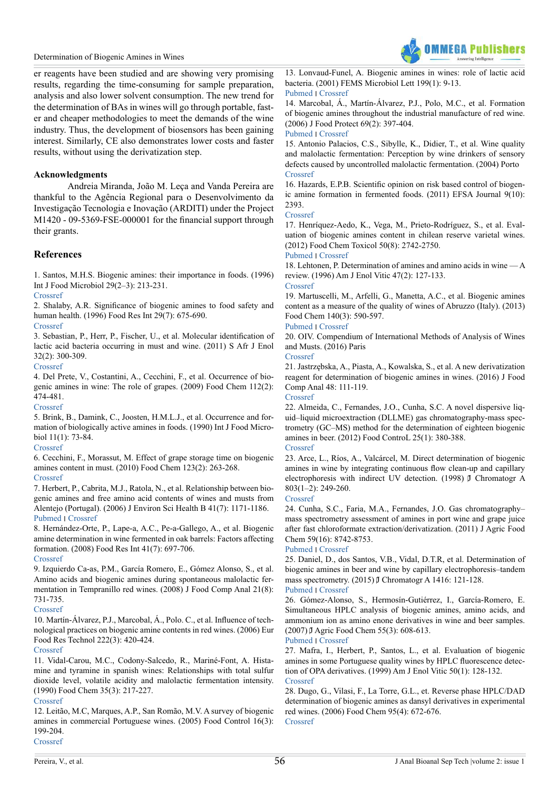#### Determination of Biogenic Amines in Wines



er reagents have been studied and are showing very promising results, regarding the time-consuming for sample preparation, analysis and also lower solvent consumption. The new trend for the determination of BAs in wines will go through portable, faster and cheaper methodologies to meet the demands of the wine industry. Thus, the development of biosensors has been gaining interest. Similarly, CE also demonstrates lower costs and faster results, without using the derivatization step.

#### **Acknowledgments**

Andreia Miranda, João M. Leça and Vanda Pereira are thankful to the Agência Regional para o Desenvolvimento da Investigação Tecnologia e Inovação (ARDITI) under the Project M1420 - 09-5369-FSE-000001 for the financial support through their grants.

### **References**

<span id="page-4-0"></span>1. Santos, M.H.S. Biogenic amines: their importance in foods. (1996) Int J Food Microbiol 29(2–3): 213-231.

[Crossref](http://www.sciencedirect.com/science/article/pii/0168160595000321)

<span id="page-4-1"></span>2. Shalaby, A.R. Significance of biogenic amines to food safety and human health. (1996) Food Res Int 29(7): 675-690.

#### [Crossref](http://www.sciencedirect.com/science/article/pii/S096399699600066X?via%3Dihub)

3. Sebastian, P., Herr, P., Fischer, U., et al. Molecular identification of lactic acid bacteria occurring in must and wine. (2011) S Afr J Enol 32(2): 300-309.

#### [Crossref](https://www.sasev.org/journal/list-of-journals/molecular-identification-of-lactic-acid-bacteria-occuring-in-must-and-wine/?id=14&entryId=139)

<span id="page-4-2"></span>4. Del Prete, V., Costantini, A., Cecchini, F., et al. Occurrence of biogenic amines in wine: The role of grapes. (2009) Food Chem 112(2): 474-481.

[Crossref](http://www.sciencedirect.com/science/article/pii/S0308814608006675)

<span id="page-4-3"></span>5. Brink, B., Damink, C., Joosten, H.M.L.J., et al. Occurrence and formation of biologically active amines in foods. (1990) Int J Food Microbiol 11(1): 73-84.

### [Crossref](http://www.sciencedirect.com/science/article/pii/016816059090040C)

6. Cecchini, F., Morassut, M. Effect of grape storage time on biogenic amines content in must. (2010) Food Chem 123(2): 263-268. [Crossref](http://www.sciencedirect.com/science/article/pii/S0308814610004826)

7. Herbert, P., Cabrita, M.J., Ratola, N., et al. Relationship between biogenic amines and free amino acid contents of wines and musts from Alentejo (Portugal). (2006) J Environ Sci Health B 41(7): 1171-1186. [Pubmed](https://www.ncbi.nlm.nih.gov/pubmed/?term=16923599) ׀ [Crossref](http://www.tandfonline.com/doi/abs/10.1080/03601230600856967) 

8. Hernández-Orte, P., Lape-a, A.C., Pe-a-Gallego, A., et al. Biogenic amine determination in wine fermented in oak barrels: Factors affecting formation. (2008) Food Res Int 41(7): 697-706. [Crossref](http://www.sciencedirect.com/science/article/pii/S0963996908000963)

9. Izquierdo Ca-as, P.M., García Romero, E., Gómez Alonso, S., et al. Amino acids and biogenic amines during spontaneous malolactic fermentation in Tempranillo red wines. (2008) J Food Comp Anal 21(8): 731-735.

[Crossref](http://www.sciencedirect.com/science/article/pii/S0889157507001718?np=y&npKey=4d176ab06b4ac3b734a943ec462c642522266576bd8b7e99a43f37ab73dd26c7)

<span id="page-4-6"></span>10. Martín-Álvarez, P.J., Marcobal, Á., Polo. C., et al. Influence of technological practices on biogenic amine contents in red wines. (2006) Eur Food Res Technol 222(3): 420-424.

#### [Crossref](http://link.springer.com/article/10.1007/s00217-005-0142-7)

11. Vidal-Carou, M.C., Codony-Salcedo, R., Mariné-Font, A. Histamine and tyramine in spanish wines: Relationships with total sulfur dioxide level, volatile acidity and malolactic fermentation intensity. (1990) Food Chem 35(3): 217-227.

#### [Crossref](http://www.sciencedirect.com/science/article/pii/0308814690900353?via%3Dihub)

12. Leitão, M.C, Marques, A.P., San Romão, M.V. A survey of biogenic amines in commercial Portuguese wines. (2005) Food Control 16(3): 199-204. [Crossref](http://www.sciencedirect.com/science/article/pii/S0956713504000167) 

<span id="page-4-4"></span>13. Lonvaud-Funel, A. Biogenic amines in wines: role of lactic acid bacteria. (2001) FEMS Microbiol Lett 199(1): 9-13. [Pubmed](https://www.ncbi.nlm.nih.gov/pubmed/?term=11356560) ׀ [Crossref](https://academic.oup.com/femsle/article-lookup/doi/10.1111/j.1574-6968.2001.tb10643.x)

<span id="page-4-5"></span>14. Marcobal, Á., Martín-Álvarez, P.J., Polo, M.C., et al. Formation of biogenic amines throughout the industrial manufacture of red wine. (2006) J Food Protect 69(2): 397-404.

#### [Pubmed](https://www.ncbi.nlm.nih.gov/pubmed/?term=16496582) ׀ [Crossref](http://jfoodprotection.org/doi/abs/10.4315/0362-028X-69.2.397?code=fopr-site)

<span id="page-4-7"></span>15. Antonio Palacios, C.S., Sibylle, K., Didier, T., et al. Wine quality and malolactic fermentation: Perception by wine drinkers of sensory defects caused by uncontrolled malolactic fermentation. (2004) Porto [Crossref](http://www.proenol.com/files/editorials/XVI_Porto_2004_Wine_quality_malolactic_fermentation.pdf.pdf#page=46)

<span id="page-4-8"></span>16. Hazards, E.P.B. Scientific opinion on risk based control of biogenic amine formation in fermented foods. (2011) EFSA Journal 9(10): 2393.

#### [Crossref](http://onlinelibrary.wiley.com/doi/10.2903/j.efsa.2011.2393/pdf)

<span id="page-4-9"></span>17. Henríquez-Aedo, K., Vega, M., Prieto-Rodríguez, S., et al. Evaluation of biogenic amines content in chilean reserve varietal wines. (2012) Food Chem Toxicol 50(8): 2742-2750.

[Pubmed](https://www.ncbi.nlm.nih.gov/pubmed/?term=22640936) ׀ [Crossref](http://www.sciencedirect.com/science/article/pii/S0278691512003778)

<span id="page-4-10"></span>18. Lehtonen, P. Determination of amines and amino acids in wine — A review. (1996) Am J Enol Vitic 47(2): 127-133.

#### [Crossref](http://www.ajevonline.org/content/47/2/127)

<span id="page-4-11"></span>19. Martuscelli, M., Arfelli, G., Manetta, A.C., et al. Biogenic amines content as a measure of the quality of wines of Abruzzo (Italy). (2013) Food Chem 140(3): 590-597.

# [Pubmed](https://www.ncbi.nlm.nih.gov/pubmed/?term=23601412) ׀ [Crossref](http://www.sciencedirect.com/science/article/pii/S0308814613000101)

20. OIV. Compendium of International Methods of Analysis of Wines and Musts. (2016) Paris

[Crossref](http://www.oiv.int/public/medias/4231/compendium-2016-en-vol1.pdf)

<span id="page-4-12"></span>21. Jastrzębska, A., Piasta, A., Kowalska, S., et al. A new derivatization reagent for determination of biogenic amines in wines. (2016) J Food Comp Anal 48: 111-119.

#### [Crossref](http://www.sciencedirect.com/science/article/pii/S0889157516300199)

<span id="page-4-13"></span>22. Almeida, C., Fernandes, J.O., Cunha, S.C. A novel dispersive liquid–liquid microextraction (DLLME) gas chromatography-mass spectrometry (GC–MS) method for the determination of eighteen biogenic amines in beer. (2012) Food ControL 25(1): 380-388.

# [Crossref](http://www.sciencedirect.com/science/article/pii/S0956713511004713)

23. Arce, L., Ríos, A., Valcárcel, M. Direct determination of biogenic amines in wine by integrating continuous flow clean-up and capillary electrophoresis with indirect UV detection. (1998)  $\beta$  Chromatogr A 803(1–2): 249-260.

[Crossref](http://www.sciencedirect.com/science/article/pii/S0021967397012557)

<span id="page-4-14"></span>24. Cunha, S.C., Faria, M.A., Fernandes, J.O. Gas chromatography– mass spectrometry assessment of amines in port wine and grape juice after fast chloroformate extraction/derivatization. (2011) J Agric Food Chem 59(16): 8742-8753.

#### [Pubmed](https://www.ncbi.nlm.nih.gov/pubmed/?term=21732693) ׀ [Crossref](http://pubs.acs.org/doi/abs/10.1021/jf201379x)

<span id="page-4-15"></span>25. Daniel, D., dos Santos, V.B., Vidal, D.T.R, et al. Determination of biogenic amines in beer and wine by capillary electrophoresis–tandem mass spectrometry. (2015) J Chromatogr A 1416: 121-128.

#### [Pubmed](https://www.ncbi.nlm.nih.gov/pubmed/?term=26362807) ׀ [Crossref](http://www.sciencedirect.com/science/article/pii/S0021967315012625)

26. Gómez-Alonso, S., Hermosín-Gutiérrez, I., García-Romero, E. Simultaneous HPLC analysis of biogenic amines, amino acids, and ammonium ion as amino enone derivatives in wine and beer samples. (2007) J Agric Food Chem 55(3): 608-613.

#### [Pubmed](https://www.ncbi.nlm.nih.gov/pubmed/?term=17263449) ׀ [Crossref](http://pubs.acs.org/doi/abs/10.1021/jf062820m)

27. Mafra, I., Herbert, P., Santos, L., et al. Evaluation of biogenic amines in some Portuguese quality wines by HPLC fluorescence detection of OPA derivatives. (1999) Am J Enol Vitic 50(1): 128-132. [Crossref](http://www.ajevonline.org/content/50/1/128.short)

28. Dugo, G., Vilasi, F., La Torre, G.L., et. Reverse phase HPLC/DAD determination of biogenic amines as dansyl derivatives in experimental red wines. (2006) Food Chem 95(4): 672-676. [Crossref](http://www.sciencedirect.com/science/article/pii/S0308814605005339)